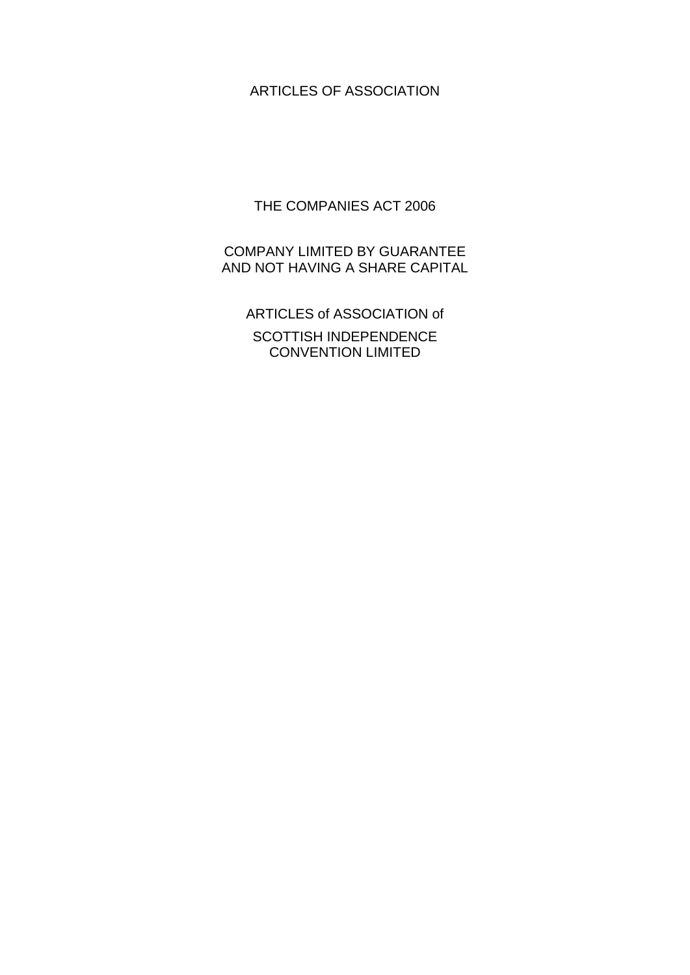# ARTICLES OF ASSOCIATION

THE COMPANIES ACT 2006

COMPANY LIMITED BY GUARANTEE AND NOT HAVING A SHARE CAPITAL

ARTICLES of ASSOCIATION of SCOTTISH INDEPENDENCE CONVENTION LIMITED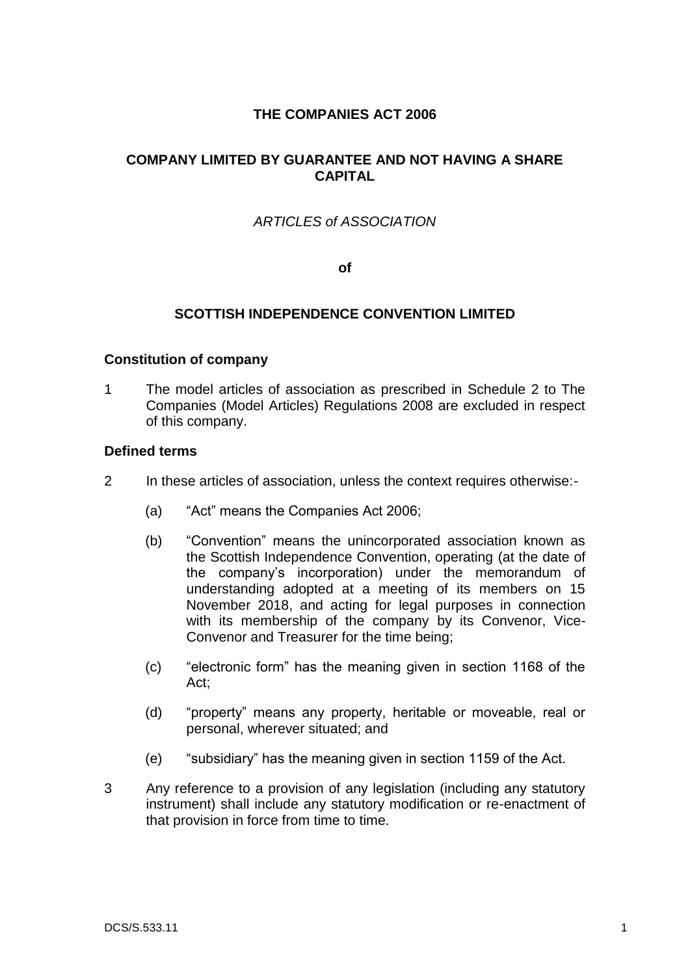# **THE COMPANIES ACT 2006**

# **COMPANY LIMITED BY GUARANTEE AND NOT HAVING A SHARE CAPITAL**

# *ARTICLES of ASSOCIATION*

**of**

### **SCOTTISH INDEPENDENCE CONVENTION LIMITED**

#### **Constitution of company**

1 The model articles of association as prescribed in Schedule 2 to The Companies (Model Articles) Regulations 2008 are excluded in respect of this company.

#### **Defined terms**

- 2 In these articles of association, unless the context requires otherwise:-
	- (a) "Act" means the Companies Act 2006;
	- (b) "Convention" means the unincorporated association known as the Scottish Independence Convention, operating (at the date of the company's incorporation) under the memorandum of understanding adopted at a meeting of its members on 15 November 2018, and acting for legal purposes in connection with its membership of the company by its Convenor, Vice-Convenor and Treasurer for the time being;
	- (c) "electronic form" has the meaning given in section 1168 of the Act;
	- (d) "property" means any property, heritable or moveable, real or personal, wherever situated; and
	- (e) "subsidiary" has the meaning given in section 1159 of the Act.
- 3 Any reference to a provision of any legislation (including any statutory instrument) shall include any statutory modification or re-enactment of that provision in force from time to time.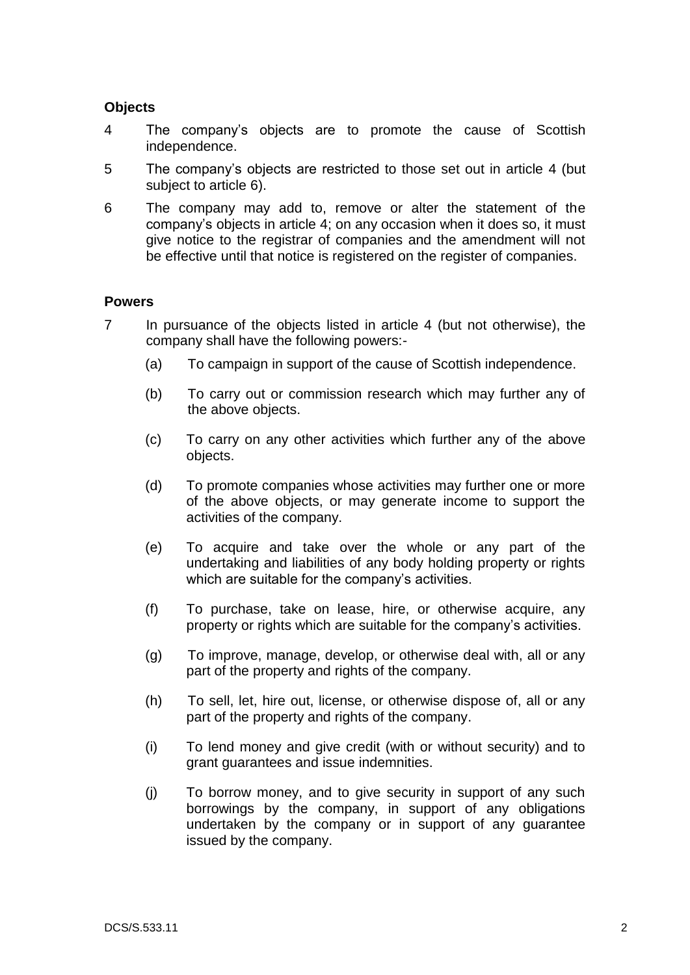### **Objects**

- <span id="page-2-0"></span>4 The company's objects are to promote the cause of Scottish independence.
- 5 The company's objects are restricted to those set out in article [4](#page-2-0) (but subject to article [6\)](#page-2-1).
- <span id="page-2-1"></span>6 The company may add to, remove or alter the statement of the company's objects in article [4;](#page-2-0) on any occasion when it does so, it must give notice to the registrar of companies and the amendment will not be effective until that notice is registered on the register of companies.

#### **Powers**

- 7 In pursuance of the objects listed in article [4](#page-2-0) (but not otherwise), the company shall have the following powers:-
	- (a) To campaign in support of the cause of Scottish independence.
	- (b) To carry out or commission research which may further any of the above objects.
	- (c) To carry on any other activities which further any of the above objects.
	- (d) To promote companies whose activities may further one or more of the above objects, or may generate income to support the activities of the company.
	- (e) To acquire and take over the whole or any part of the undertaking and liabilities of any body holding property or rights which are suitable for the company's activities.
	- (f) To purchase, take on lease, hire, or otherwise acquire, any property or rights which are suitable for the company's activities.
	- (g) To improve, manage, develop, or otherwise deal with, all or any part of the property and rights of the company.
	- (h) To sell, let, hire out, license, or otherwise dispose of, all or any part of the property and rights of the company.
	- (i) To lend money and give credit (with or without security) and to grant guarantees and issue indemnities.
	- (j) To borrow money, and to give security in support of any such borrowings by the company, in support of any obligations undertaken by the company or in support of any guarantee issued by the company.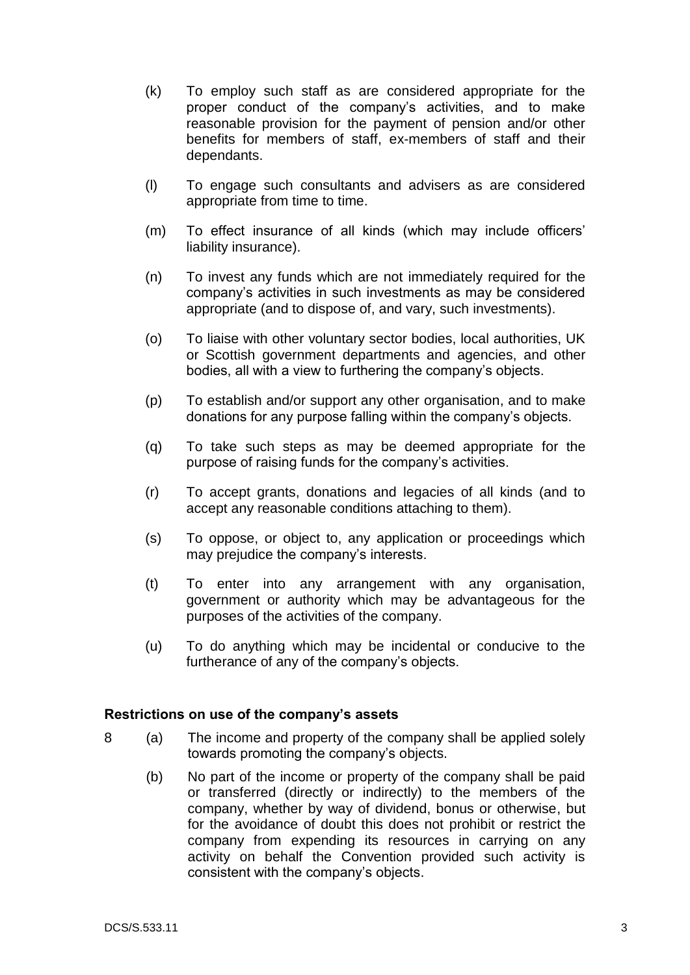- (k) To employ such staff as are considered appropriate for the proper conduct of the company's activities, and to make reasonable provision for the payment of pension and/or other benefits for members of staff, ex-members of staff and their dependants.
- (l) To engage such consultants and advisers as are considered appropriate from time to time.
- (m) To effect insurance of all kinds (which may include officers' liability insurance).
- (n) To invest any funds which are not immediately required for the company's activities in such investments as may be considered appropriate (and to dispose of, and vary, such investments).
- (o) To liaise with other voluntary sector bodies, local authorities, UK or Scottish government departments and agencies, and other bodies, all with a view to furthering the company's objects.
- (p) To establish and/or support any other organisation, and to make donations for any purpose falling within the company's objects.
- (q) To take such steps as may be deemed appropriate for the purpose of raising funds for the company's activities.
- (r) To accept grants, donations and legacies of all kinds (and to accept any reasonable conditions attaching to them).
- (s) To oppose, or object to, any application or proceedings which may prejudice the company's interests.
- (t) To enter into any arrangement with any organisation, government or authority which may be advantageous for the purposes of the activities of the company.
- (u) To do anything which may be incidental or conducive to the furtherance of any of the company's objects.

#### **Restrictions on use of the company's assets**

- 8 (a) The income and property of the company shall be applied solely towards promoting the company's objects.
	- (b) No part of the income or property of the company shall be paid or transferred (directly or indirectly) to the members of the company, whether by way of dividend, bonus or otherwise, but for the avoidance of doubt this does not prohibit or restrict the company from expending its resources in carrying on any activity on behalf the Convention provided such activity is consistent with the company's objects.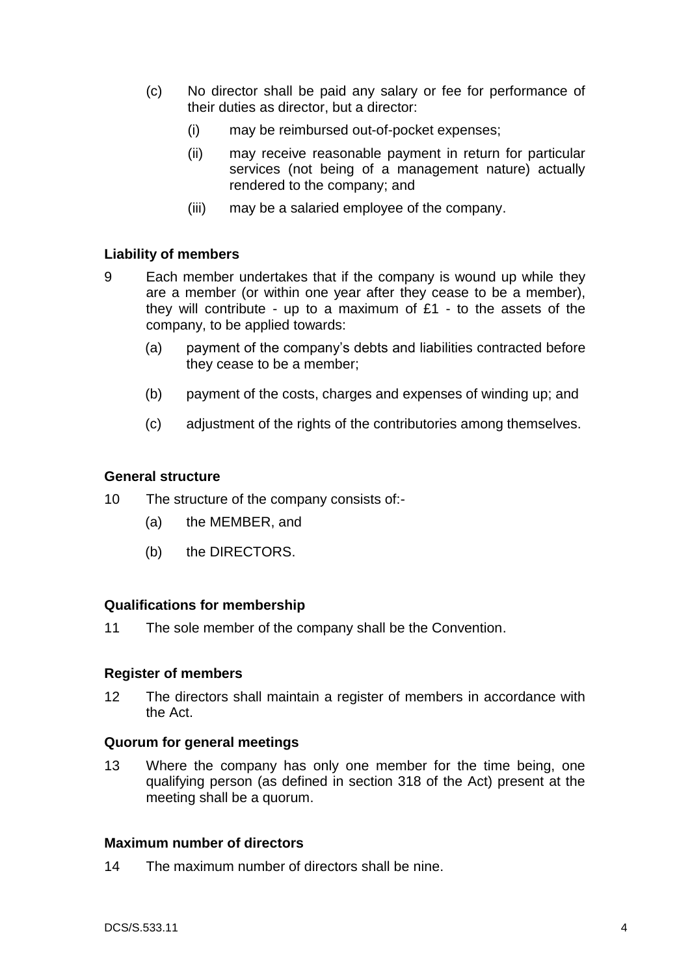- (c) No director shall be paid any salary or fee for performance of their duties as director, but a director:
	- (i) may be reimbursed out-of-pocket expenses;
	- (ii) may receive reasonable payment in return for particular services (not being of a management nature) actually rendered to the company; and
	- (iii) may be a salaried employee of the company.

# **Liability of members**

- 9 Each member undertakes that if the company is wound up while they are a member (or within one year after they cease to be a member), they will contribute - up to a maximum of  $£1$  - to the assets of the company, to be applied towards:
	- (a) payment of the company's debts and liabilities contracted before they cease to be a member;
	- (b) payment of the costs, charges and expenses of winding up; and
	- (c) adjustment of the rights of the contributories among themselves.

### **General structure**

- 10 The structure of the company consists of:-
	- (a) the MEMBER, and
	- (b) the DIRECTORS.

# **Qualifications for membership**

11 The sole member of the company shall be the Convention.

#### **Register of members**

12 The directors shall maintain a register of members in accordance with the Act.

#### **Quorum for general meetings**

13 Where the company has only one member for the time being, one qualifying person (as defined in section 318 of the Act) present at the meeting shall be a quorum.

#### **Maximum number of directors**

14 The maximum number of directors shall be nine.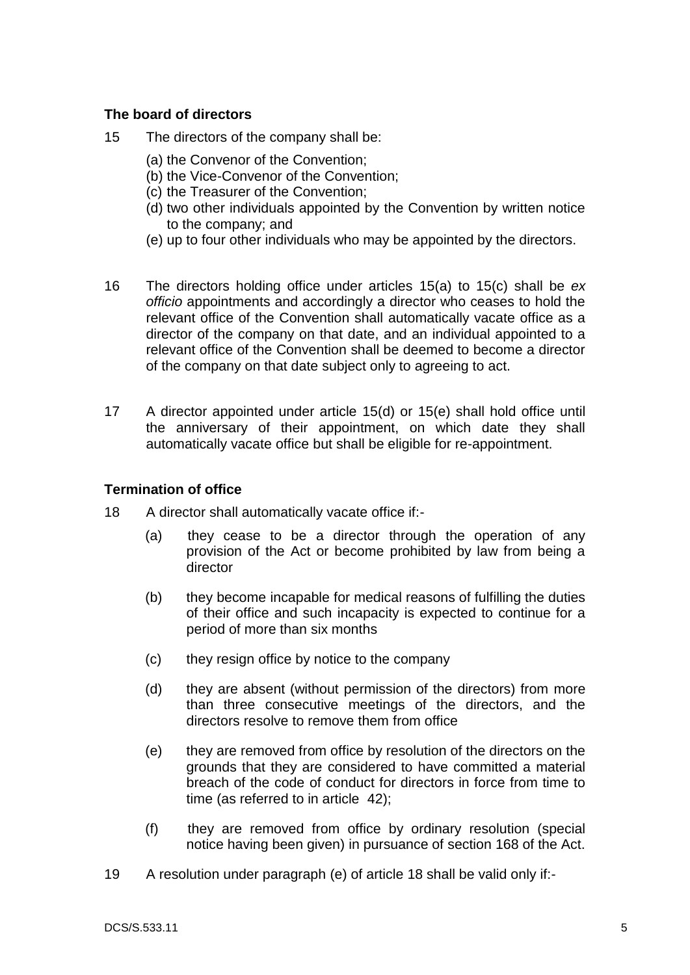## **The board of directors**

- <span id="page-5-2"></span><span id="page-5-1"></span><span id="page-5-0"></span>15 The directors of the company shall be:
	- (a) the Convenor of the Convention;
	- (b) the Vice-Convenor of the Convention;
	- (c) the Treasurer of the Convention;
	- (d) two other individuals appointed by the Convention by written notice to the company; and
	- (e) up to four other individuals who may be appointed by the directors.
- <span id="page-5-3"></span>16 The directors holding office under articles [15\(a\)](#page-5-0) to [15\(c\)](#page-5-1) shall be *ex officio* appointments and accordingly a director who ceases to hold the relevant office of the Convention shall automatically vacate office as a director of the company on that date, and an individual appointed to a relevant office of the Convention shall be deemed to become a director of the company on that date subject only to agreeing to act.
- 17 A director appointed under article [15\(d\)](#page-5-2) or [15\(e\)](#page-5-3) shall hold office until the anniversary of their appointment, on which date they shall automatically vacate office but shall be eligible for re-appointment.

#### **Termination of office**

- <span id="page-5-4"></span>18 A director shall automatically vacate office if:-
	- (a) they cease to be a director through the operation of any provision of the Act or become prohibited by law from being a director
	- (b) they become incapable for medical reasons of fulfilling the duties of their office and such incapacity is expected to continue for a period of more than six months
	- (c) they resign office by notice to the company
	- (d) they are absent (without permission of the directors) from more than three consecutive meetings of the directors, and the directors resolve to remove them from office
	- (e) they are removed from office by resolution of the directors on the grounds that they are considered to have committed a material breach of the code of conduct for directors in force from time to time (as referred to in article [42\)](#page-9-0);
	- (f) they are removed from office by ordinary resolution (special notice having been given) in pursuance of section 168 of the Act.
- 19 A resolution under paragraph (e) of article [18](#page-5-4) shall be valid only if:-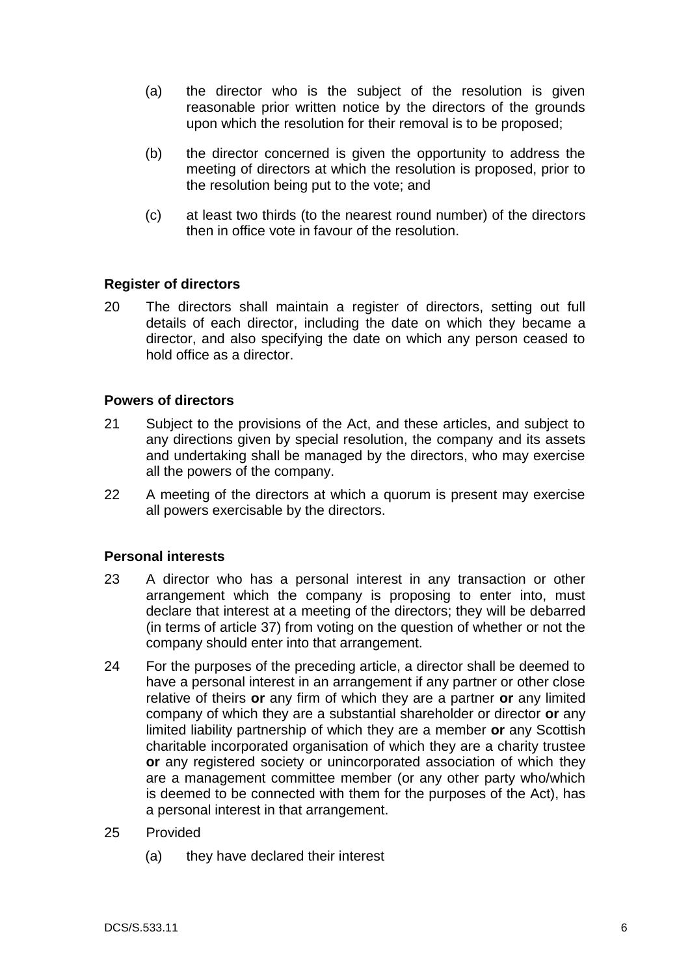- (a) the director who is the subject of the resolution is given reasonable prior written notice by the directors of the grounds upon which the resolution for their removal is to be proposed;
- (b) the director concerned is given the opportunity to address the meeting of directors at which the resolution is proposed, prior to the resolution being put to the vote; and
- (c) at least two thirds (to the nearest round number) of the directors then in office vote in favour of the resolution.

# **Register of directors**

20 The directors shall maintain a register of directors, setting out full details of each director, including the date on which they became a director, and also specifying the date on which any person ceased to hold office as a director.

### **Powers of directors**

- 21 Subject to the provisions of the Act, and these articles, and subject to any directions given by special resolution, the company and its assets and undertaking shall be managed by the directors, who may exercise all the powers of the company.
- 22 A meeting of the directors at which a quorum is present may exercise all powers exercisable by the directors.

# **Personal interests**

- <span id="page-6-1"></span>23 A director who has a personal interest in any transaction or other arrangement which the company is proposing to enter into, must declare that interest at a meeting of the directors; they will be debarred (in terms of article [37\)](#page-8-0) from voting on the question of whether or not the company should enter into that arrangement.
- <span id="page-6-0"></span>24 For the purposes of the preceding article, a director shall be deemed to have a personal interest in an arrangement if any partner or other close relative of theirs **or** any firm of which they are a partner **or** any limited company of which they are a substantial shareholder or director **or** any limited liability partnership of which they are a member **or** any Scottish charitable incorporated organisation of which they are a charity trustee **or** any registered society or unincorporated association of which they are a management committee member (or any other party who/which is deemed to be connected with them for the purposes of the Act), has a personal interest in that arrangement.
- <span id="page-6-2"></span>25 Provided
	- (a) they have declared their interest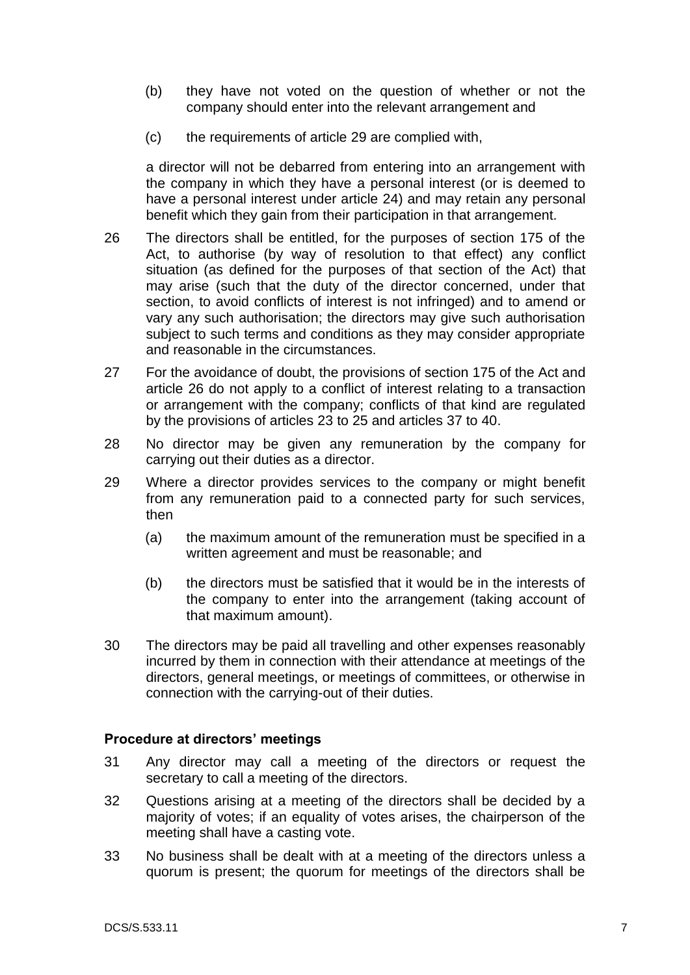- (b) they have not voted on the question of whether or not the company should enter into the relevant arrangement and
- (c) the requirements of article [29](#page-7-0) are complied with,

a director will not be debarred from entering into an arrangement with the company in which they have a personal interest (or is deemed to have a personal interest under article [24\)](#page-6-0) and may retain any personal benefit which they gain from their participation in that arrangement.

- <span id="page-7-1"></span>26 The directors shall be entitled, for the purposes of section 175 of the Act, to authorise (by way of resolution to that effect) any conflict situation (as defined for the purposes of that section of the Act) that may arise (such that the duty of the director concerned, under that section, to avoid conflicts of interest is not infringed) and to amend or vary any such authorisation; the directors may give such authorisation subject to such terms and conditions as they may consider appropriate and reasonable in the circumstances.
- 27 For the avoidance of doubt, the provisions of section 175 of the Act and article [26](#page-7-1) do not apply to a conflict of interest relating to a transaction or arrangement with the company; conflicts of that kind are regulated by the provisions of articles [23](#page-6-1) to [25](#page-6-2) and articles [37](#page-8-0) to [40.](#page-8-1)
- 28 No director may be given any remuneration by the company for carrying out their duties as a director.
- <span id="page-7-0"></span>29 Where a director provides services to the company or might benefit from any remuneration paid to a connected party for such services, then
	- (a) the maximum amount of the remuneration must be specified in a written agreement and must be reasonable; and
	- (b) the directors must be satisfied that it would be in the interests of the company to enter into the arrangement (taking account of that maximum amount).
- 30 The directors may be paid all travelling and other expenses reasonably incurred by them in connection with their attendance at meetings of the directors, general meetings, or meetings of committees, or otherwise in connection with the carrying-out of their duties.

#### **Procedure at directors' meetings**

- 31 Any director may call a meeting of the directors or request the secretary to call a meeting of the directors.
- 32 Questions arising at a meeting of the directors shall be decided by a majority of votes; if an equality of votes arises, the chairperson of the meeting shall have a casting vote.
- 33 No business shall be dealt with at a meeting of the directors unless a quorum is present; the quorum for meetings of the directors shall be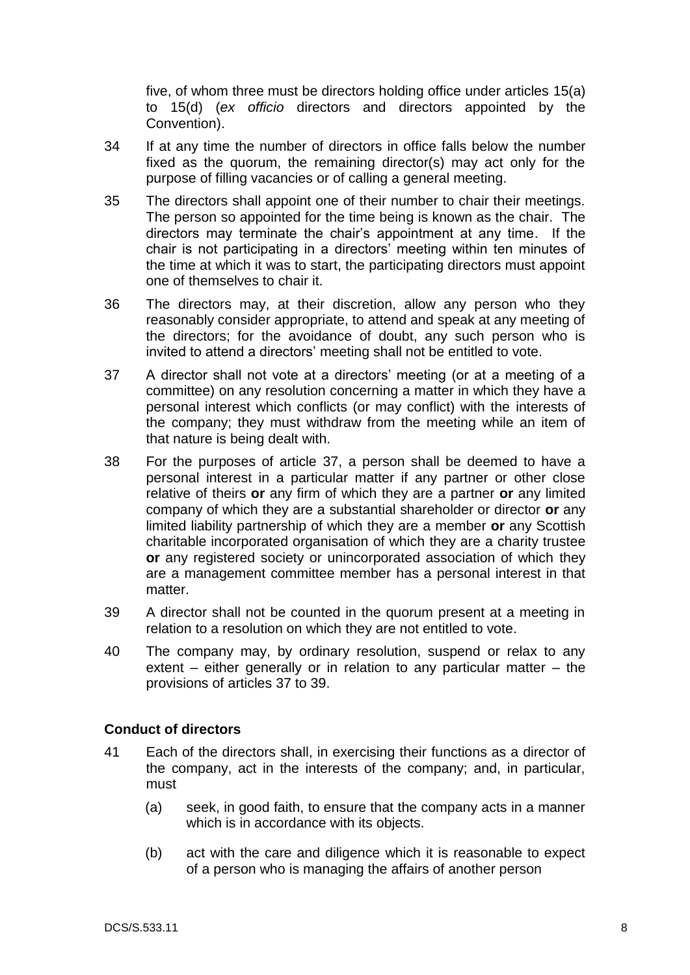five, of whom three must be directors holding office under articles [15\(a\)](#page-5-0) to [15\(d\)](#page-5-2) (*ex officio* directors and directors appointed by the Convention).

- 34 If at any time the number of directors in office falls below the number fixed as the quorum, the remaining director(s) may act only for the purpose of filling vacancies or of calling a general meeting.
- 35 The directors shall appoint one of their number to chair their meetings. The person so appointed for the time being is known as the chair. The directors may terminate the chair's appointment at any time. If the chair is not participating in a directors' meeting within ten minutes of the time at which it was to start, the participating directors must appoint one of themselves to chair it.
- 36 The directors may, at their discretion, allow any person who they reasonably consider appropriate, to attend and speak at any meeting of the directors; for the avoidance of doubt, any such person who is invited to attend a directors' meeting shall not be entitled to vote.
- <span id="page-8-0"></span>37 A director shall not vote at a directors' meeting (or at a meeting of a committee) on any resolution concerning a matter in which they have a personal interest which conflicts (or may conflict) with the interests of the company; they must withdraw from the meeting while an item of that nature is being dealt with.
- 38 For the purposes of article [37,](#page-8-0) a person shall be deemed to have a personal interest in a particular matter if any partner or other close relative of theirs **or** any firm of which they are a partner **or** any limited company of which they are a substantial shareholder or director **or** any limited liability partnership of which they are a member **or** any Scottish charitable incorporated organisation of which they are a charity trustee **or** any registered society or unincorporated association of which they are a management committee member has a personal interest in that matter.
- <span id="page-8-2"></span>39 A director shall not be counted in the quorum present at a meeting in relation to a resolution on which they are not entitled to vote.
- <span id="page-8-1"></span>40 The company may, by ordinary resolution, suspend or relax to any extent – either generally or in relation to any particular matter – the provisions of articles [37](#page-8-0) to [39.](#page-8-2)

# **Conduct of directors**

- 41 Each of the directors shall, in exercising their functions as a director of the company, act in the interests of the company; and, in particular, must
	- (a) seek, in good faith, to ensure that the company acts in a manner which is in accordance with its objects.
	- (b) act with the care and diligence which it is reasonable to expect of a person who is managing the affairs of another person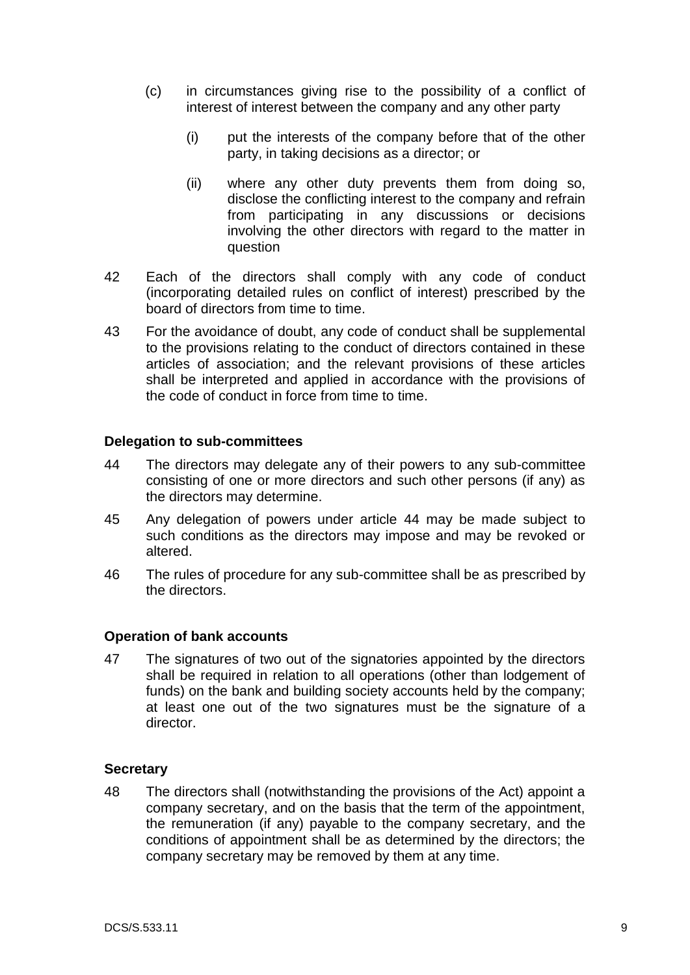- (c) in circumstances giving rise to the possibility of a conflict of interest of interest between the company and any other party
	- (i) put the interests of the company before that of the other party, in taking decisions as a director; or
	- (ii) where any other duty prevents them from doing so, disclose the conflicting interest to the company and refrain from participating in any discussions or decisions involving the other directors with regard to the matter in question
- <span id="page-9-0"></span>42 Each of the directors shall comply with any code of conduct (incorporating detailed rules on conflict of interest) prescribed by the board of directors from time to time.
- 43 For the avoidance of doubt, any code of conduct shall be supplemental to the provisions relating to the conduct of directors contained in these articles of association; and the relevant provisions of these articles shall be interpreted and applied in accordance with the provisions of the code of conduct in force from time to time.

### **Delegation to sub-committees**

- <span id="page-9-1"></span>44 The directors may delegate any of their powers to any sub-committee consisting of one or more directors and such other persons (if any) as the directors may determine.
- 45 Any delegation of powers under article [44](#page-9-1) may be made subject to such conditions as the directors may impose and may be revoked or altered.
- 46 The rules of procedure for any sub-committee shall be as prescribed by the directors.

#### **Operation of bank accounts**

47 The signatures of two out of the signatories appointed by the directors shall be required in relation to all operations (other than lodgement of funds) on the bank and building society accounts held by the company; at least one out of the two signatures must be the signature of a director.

#### **Secretary**

48 The directors shall (notwithstanding the provisions of the Act) appoint a company secretary, and on the basis that the term of the appointment, the remuneration (if any) payable to the company secretary, and the conditions of appointment shall be as determined by the directors; the company secretary may be removed by them at any time.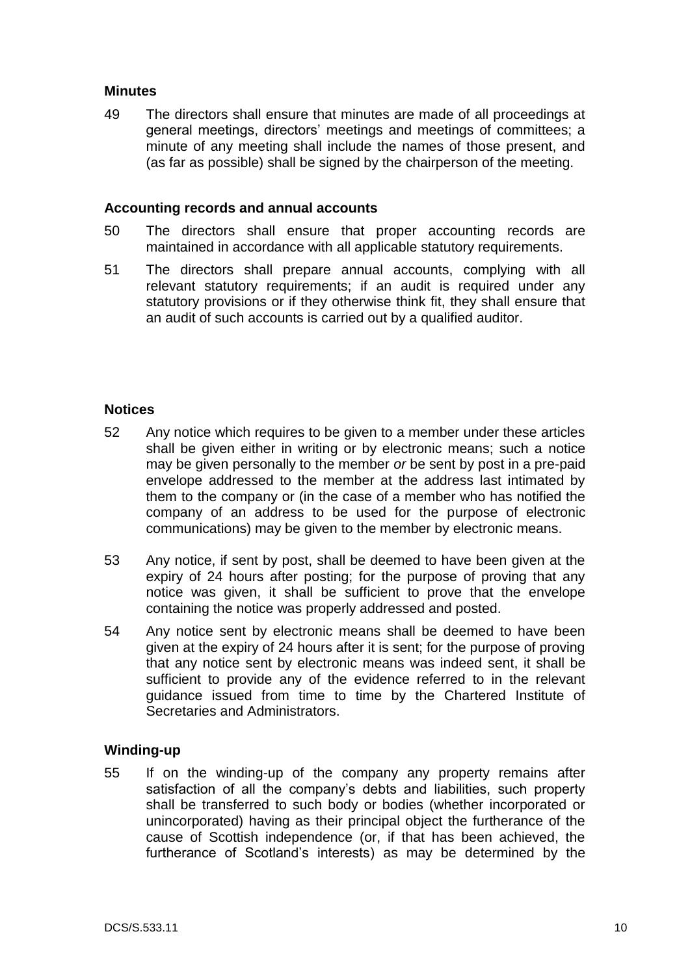### **Minutes**

49 The directors shall ensure that minutes are made of all proceedings at general meetings, directors' meetings and meetings of committees; a minute of any meeting shall include the names of those present, and (as far as possible) shall be signed by the chairperson of the meeting.

#### **Accounting records and annual accounts**

- 50 The directors shall ensure that proper accounting records are maintained in accordance with all applicable statutory requirements.
- 51 The directors shall prepare annual accounts, complying with all relevant statutory requirements; if an audit is required under any statutory provisions or if they otherwise think fit, they shall ensure that an audit of such accounts is carried out by a qualified auditor.

### **Notices**

- 52 Any notice which requires to be given to a member under these articles shall be given either in writing or by electronic means; such a notice may be given personally to the member *or* be sent by post in a pre-paid envelope addressed to the member at the address last intimated by them to the company or (in the case of a member who has notified the company of an address to be used for the purpose of electronic communications) may be given to the member by electronic means.
- 53 Any notice, if sent by post, shall be deemed to have been given at the expiry of 24 hours after posting; for the purpose of proving that any notice was given, it shall be sufficient to prove that the envelope containing the notice was properly addressed and posted.
- 54 Any notice sent by electronic means shall be deemed to have been given at the expiry of 24 hours after it is sent; for the purpose of proving that any notice sent by electronic means was indeed sent, it shall be sufficient to provide any of the evidence referred to in the relevant guidance issued from time to time by the Chartered Institute of Secretaries and Administrators.

# **Winding-up**

<span id="page-10-0"></span>55 If on the winding-up of the company any property remains after satisfaction of all the company's debts and liabilities, such property shall be transferred to such body or bodies (whether incorporated or unincorporated) having as their principal object the furtherance of the cause of Scottish independence (or, if that has been achieved, the furtherance of Scotland's interests) as may be determined by the